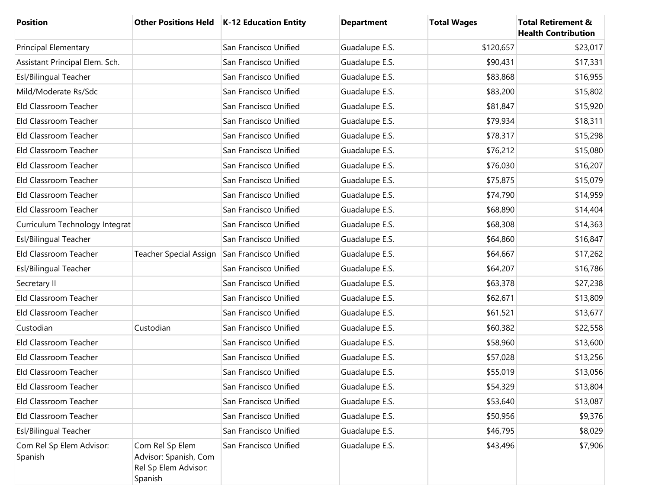| <b>Position</b>                     |                                                                             | Other Positions Held   K-12 Education Entity | <b>Department</b> | <b>Total Wages</b> | <b>Total Retirement &amp;</b><br><b>Health Contribution</b> |
|-------------------------------------|-----------------------------------------------------------------------------|----------------------------------------------|-------------------|--------------------|-------------------------------------------------------------|
| Principal Elementary                |                                                                             | San Francisco Unified                        | Guadalupe E.S.    | \$120,657          | \$23,017                                                    |
| Assistant Principal Elem. Sch.      |                                                                             | San Francisco Unified                        | Guadalupe E.S.    | \$90,431           | \$17,331                                                    |
| Esl/Bilingual Teacher               |                                                                             | San Francisco Unified                        | Guadalupe E.S.    | \$83,868           | \$16,955                                                    |
| Mild/Moderate Rs/Sdc                |                                                                             | San Francisco Unified                        | Guadalupe E.S.    | \$83,200           | \$15,802                                                    |
| Eld Classroom Teacher               |                                                                             | San Francisco Unified                        | Guadalupe E.S.    | \$81,847           | \$15,920                                                    |
| Eld Classroom Teacher               |                                                                             | San Francisco Unified                        | Guadalupe E.S.    | \$79,934           | \$18,311                                                    |
| Eld Classroom Teacher               |                                                                             | San Francisco Unified                        | Guadalupe E.S.    | \$78,317           | \$15,298                                                    |
| Eld Classroom Teacher               |                                                                             | San Francisco Unified                        | Guadalupe E.S.    | \$76,212           | \$15,080                                                    |
| Eld Classroom Teacher               |                                                                             | San Francisco Unified                        | Guadalupe E.S.    | \$76,030           | \$16,207                                                    |
| Eld Classroom Teacher               |                                                                             | San Francisco Unified                        | Guadalupe E.S.    | \$75,875           | \$15,079                                                    |
| Eld Classroom Teacher               |                                                                             | San Francisco Unified                        | Guadalupe E.S.    | \$74,790           | \$14,959                                                    |
| Eld Classroom Teacher               |                                                                             | San Francisco Unified                        | Guadalupe E.S.    | \$68,890           | \$14,404                                                    |
| Curriculum Technology Integrat      |                                                                             | San Francisco Unified                        | Guadalupe E.S.    | \$68,308           | \$14,363                                                    |
| Esl/Bilingual Teacher               |                                                                             | San Francisco Unified                        | Guadalupe E.S.    | \$64,860           | \$16,847                                                    |
| Eld Classroom Teacher               | <b>Teacher Special Assign</b>                                               | San Francisco Unified                        | Guadalupe E.S.    | \$64,667           | \$17,262                                                    |
| Esl/Bilingual Teacher               |                                                                             | San Francisco Unified                        | Guadalupe E.S.    | \$64,207           | \$16,786                                                    |
| Secretary II                        |                                                                             | San Francisco Unified                        | Guadalupe E.S.    | \$63,378           | \$27,238                                                    |
| Eld Classroom Teacher               |                                                                             | San Francisco Unified                        | Guadalupe E.S.    | \$62,671           | \$13,809                                                    |
| Eld Classroom Teacher               |                                                                             | San Francisco Unified                        | Guadalupe E.S.    | \$61,521           | \$13,677                                                    |
| Custodian                           | Custodian                                                                   | San Francisco Unified                        | Guadalupe E.S.    | \$60,382           | \$22,558                                                    |
| Eld Classroom Teacher               |                                                                             | San Francisco Unified                        | Guadalupe E.S.    | \$58,960           | \$13,600                                                    |
| Eld Classroom Teacher               |                                                                             | San Francisco Unified                        | Guadalupe E.S.    | \$57,028           | \$13,256                                                    |
| Eld Classroom Teacher               |                                                                             | San Francisco Unified                        | Guadalupe E.S.    | \$55,019           | \$13,056                                                    |
| Eld Classroom Teacher               |                                                                             | San Francisco Unified                        | Guadalupe E.S.    | \$54,329           | \$13,804                                                    |
| Eld Classroom Teacher               |                                                                             | San Francisco Unified                        | Guadalupe E.S.    | \$53,640           | \$13,087                                                    |
| Eld Classroom Teacher               |                                                                             | San Francisco Unified                        | Guadalupe E.S.    | \$50,956           | \$9,376                                                     |
| Esl/Bilingual Teacher               |                                                                             | San Francisco Unified                        | Guadalupe E.S.    | \$46,795           | \$8,029                                                     |
| Com Rel Sp Elem Advisor:<br>Spanish | Com Rel Sp Elem<br>Advisor: Spanish, Com<br>Rel Sp Elem Advisor:<br>Spanish | San Francisco Unified                        | Guadalupe E.S.    | \$43,496           | \$7,906                                                     |